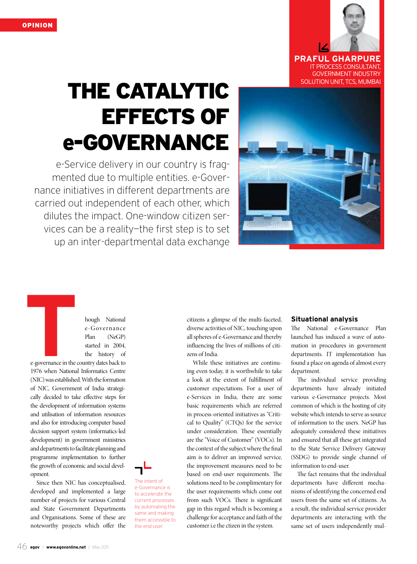

 IT Process Consultant, Government Industry SOLUTION UNIT, TCS, MUMBAI

# The Catalytic Effects of e-Governance

e-Service delivery in our country is fragmented due to multiple entities. e-Governance initiatives in different departments are carried out independent of each other, which dilutes the impact. One-window citizen services can be a reality—the first step is to set up an inter-departmental data exchange

> The intent of e-Governance is to accelerate the current processes by automating the same and making them accessible to the end-user.



hough National e-Governance Plan (NeGP) started in 2004, the history of

e-governance in the country dates back to 1976 when National Informatics Centre (NIC) was established. With the formation of NIC, Government of India strategically decided to take effective steps for the development of information systems and utilisation of information resources and also for introducing computer based decision support system (informatics-led development) in government ministries and departments to facilitate planning and programme implementation to further the growth of economic and social development.

Since then NIC has conceptualised, developed and implemented a large number of projects for various Central and State Government Departments and Organisations. Some of these are noteworthy projects which offer the



While these initiatives are continuing even today, it is worthwhile to take a look at the extent of fulfillment of customer expectations. For a user of e-Services in India, there are some basic requirements which are referred in process-oriented initiatives as "Critical to Quality" (CTQs) for the service under consideration. These essentially are the "Voice of Customer" (VOCs). In the context of the subject where the final aim is to deliver an improved service, the improvement measures need to be based on end-user requirements. The solutions need to be complimentary for the user requirements which come out from such VOCs. There is significant gap in this regard which is becoming a challenge for acceptance and faith of the customer i.e the ctizen in the system.

#### **Situational analysis**

The National e-Governance Plan launched has induced a wave of automation in procedures in government departments. IT implementation has found a place on agenda of almost every department.

The individual service providing departments have already initiated various e-Governance projects. Most common of which is the hosting of city website which intends to serve as source of information to the users. NeGP has adequately considered these initiatives and ensured that all these get integrated to the State Service Delivery Gateway (SSDG) to provide single channel of information to end-user.

The fact remains that the individual departments have different mechanisms of identifying the concerned end users from the same set of citizens. As a result, the individual service provider departments are interacting with the same set of users independently mul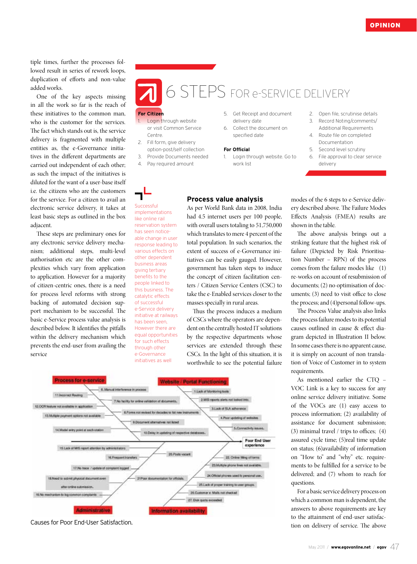tiple times, further the processes followed result in series of rework loops, duplication of efforts and non-value added works.

One of the key aspects missing in all the work so far is the reach of these initiatives to the common man, who is the customer for the services. The fact which stands out is, the service delivery is fragmented with multiple entities as, the e-Governance initiatives in the different departments are carried out independent of each other; as such the impact of the initiatives is diluted for the want of a user-base itself i.e. the citizens who are the customers for the service. For a citizen to avail an electronic service delivery, it takes at least basic steps as outlined in the box adjacent.

These steps are preliminary ones for any electronic service delivery mechanism; additional steps, multi-level authorisation etc are the other complexities which vary from application to application. However for a majority of citizen-centric ones, there is a need for process level reforms with strong backing of automated decision support mechanism to be successful. The basic e-Service process value analysis is described below. It identifies the pitfalls within the delivery mechanism which prevents the end-user from availing the service

# 6 steps for e-service delivery

## **For Citizen**

- Login through website or visit Common Service Centre.
- 2. Fill form, give delivery option-post/self collection
- 3. Provide Documents needed
- 4. Pay required amount

Successful implementations like online rail reservation system has seen noticeable change in user response leading to various effects on other dependent business areas giving tertiary benefits to the people linked to this business. The catalytic effects of successful e-Service delivery initiative at railways has been seen, However there are equal opportunities for such effects through other e-Governance initiatives as well

- 5. Get Receipt and document delivery date
- 6. Collect the document on specified date

#### **For Official**

Thus the process induces a medium of CSCs where the operators are dependent on the centrally hosted IT solutions by the respective departments whose services are extended through these CSCs. In the light of this situation, it is worthwhile to see the potential failure

**Process value analysis**  As per World Bank data in 2008, India had 4.5 internet users per 100 people, with overall users totaling to 51,750,000 which translates to mere 4 percent of the total population. In such scenarios, the extent of success of e-Governance initiatives can be easily gauged. However, government has taken steps to induce the concept of citizen facilitation centers / Citizen Service Centers (CSC) to take the e-Enabled services closer to the masses specially in rural areas.

- 1. Login through website. Go to work list
- 2. Open file, scrutinise details
- 3. Record Noting/comments/ Additional Requirements
- 4. Route file on completed Documentation
- 5. Second level scrutiny
- 6. File approval to clear service delivery

modes of the 6 steps to e-Service delivery described above. The Failure Modes Effects Analysis (FMEA) results are shown in the table.

The above analysis brings out a striking feature that the highest risk of failure (Depicted by Risk Prioritisation Number – RPN) of the process comes from the failure modes like (1) re-works on account of resubmission of documents; (2) no optimisation of documents; (3) need to visit office to close the process; and (4)personal follow-ups.

The Process Value analysis also links the process failure modes to its potential causes outlined in cause & effect diagram depicted in Illustration II below. In some cases there is no apparent cause, it is simply on account of non translation of Voice of Customer in to system requirements.

As mentioned earlier the CTQ – VOC Link is a key to success for any online service delivery initiative. Some of the VOCs are (1) easy access to process information; (2) availability of assistance for document submission; (3) minimal travel / trips to offices; (4) assured cycle time; (5)real time update on status; (6)availability of information on "How to" and "why" etc. requirements to be fulfilled for a service to be delivered; and (7) whom to reach for questions.

For a basic service delivery process on which a common man is dependent, the answers to above requirements are key to the attainment of end-user satisfaction on delivery of service. The above



Causes for Poor End-User Satisfaction.